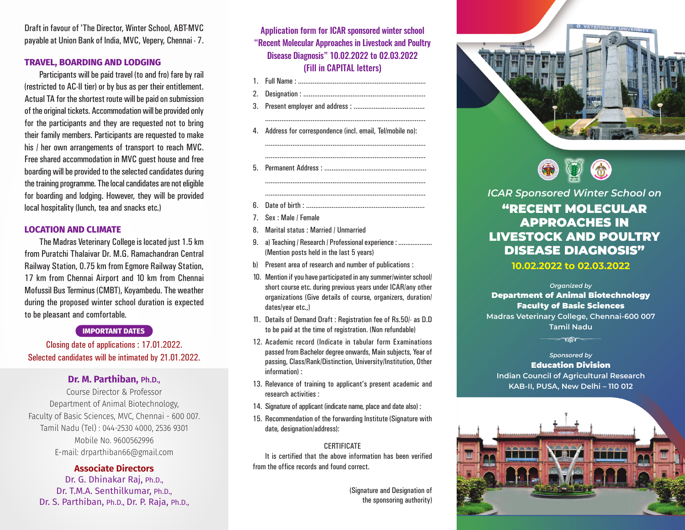Draft in favour of 'The Director, Winter School, ABT-MVC payable at Union Bank of India, MVC, Vepery, Chennai - 7.

#### **TRAVEL, BOARDING AND LODGING**

Participants will be paid travel (to and fro) fare by rail (restricted to AC-II tier) or by bus as per their entitlement. Actual TA for the shortest route will be paid on submission of the original tickets. Accommodation will be provided only for the participants and they are requested not to bring their family members. Participants are requested to make his / her own arrangements of transport to reach MVC. Free shared accommodation in MVC guest house and free boarding will be provided to the selected candidates during the training programme. The local candidates are not eligible for boarding and lodging. However, they will be provided local hospitality (lunch, tea and snacks etc.)

#### **LOCATION AND CLIMATE**

The Madras Veterinary College is located just 1.5 km from Puratchi Thalaivar Dr. M.G. Ramachandran Central Railway Station, 0.75 km from Egmore Railway Station, 17 km from Chennai Airport and 10 km from Chennai Mofussil Bus Terminus (CMBT), Koyambedu. The weather during the proposed winter school duration is expected to be pleasant and comfortable.

#### **IMPORTANT DATES**

Closing date of applications : 17.01.2022. Selected candidates will be intimated by 21.01.2022.

## **Dr. M. Parthiban,** Ph.D.,

Course Director & Professor Department of Animal Biotechnology, Faculty of Basic Sciences, MVC, Chennai - 600 007. Tamil Nadu (Tel) : 044-2530 4000, 2536 9301 Mobile No. 9600562996 E-mail: drparthiban66@gmail.com

### **Associate Directors**

Dr. G. Dhinakar Raj, Ph.D., Dr. T.M.A. Senthilkumar, Ph.D., Dr. S. Parthiban, Ph.D., Dr. P. Raja, Ph.D.,

Application form for ICAR sponsored winter school "Recent Molecular Approaches in Livestock and Poultry Disease Diagnosis" 10.02.2022 to 02.03.2022 (Fill in CAPITAL letters)

- 1. Full Name : ......................................................................
- 2. Designation : ...................................................................
- 3. Present employer and address : .......................................
- 4. Address for correspondence (incl. email, Tel/mobile no):

........................................................................................

........................................................................................

........................................................................................

- 5. Permanent Address : ........................................................
- 6. Date of birth : .................................................................
- 7. Sex : Male / Female
- 8. Marital status : Married / Unmarried
- 9. a) Teaching / Research / Professional experience : .................... (Mention posts held in the last 5 years)
- b) Present area of research and number of publications :
- 10. Mention if you have participated in any summer/winter school/ short course etc. during previous years under ICAR/any other organizations (Give details of course, organizers, duration/ dates/year etc.,)
- 11. Details of Demand Draft : Registration fee of Rs.50/- as D.D to be paid at the time of registration. (Non refundable)
- 12. Academic record (Indicate in tabular form Examinations passed from Bachelor degree onwards, Main subjects, Year of passing, Class/Rank/Distinction, University/Institution, Other information) :
- 13. Relevance of training to applicant's present academic and research activities :
- 14. Signature of applicant (indicate name, place and date also) :
- 15. Recommendation of the forwarding Institute (Signature with date, designation/address):

#### **CERTIFICATE**

It is certified that the above information has been verified from the office records and found correct.

> (Signature and Designation of the sponsoring authority)





*ICAR Sponsored Winter School on*

# "RECENT MOLECULAR APPROACHES IN LIVESTOCK AND POULTRY DISEASE DIAGNOSIS"

**10.02.2022 to 02.03.2022**

*Organized by* Department of Animal Biotechnology Faculty of Basic Sciences **Madras Veterinary College, Chennai-600 007** 

**Tamil Nadu**

**TIN** 

*Sponsored by* Education Division **Indian Council of Agricultural Research KAB-II, PUSA, New Delhi – 110 012**